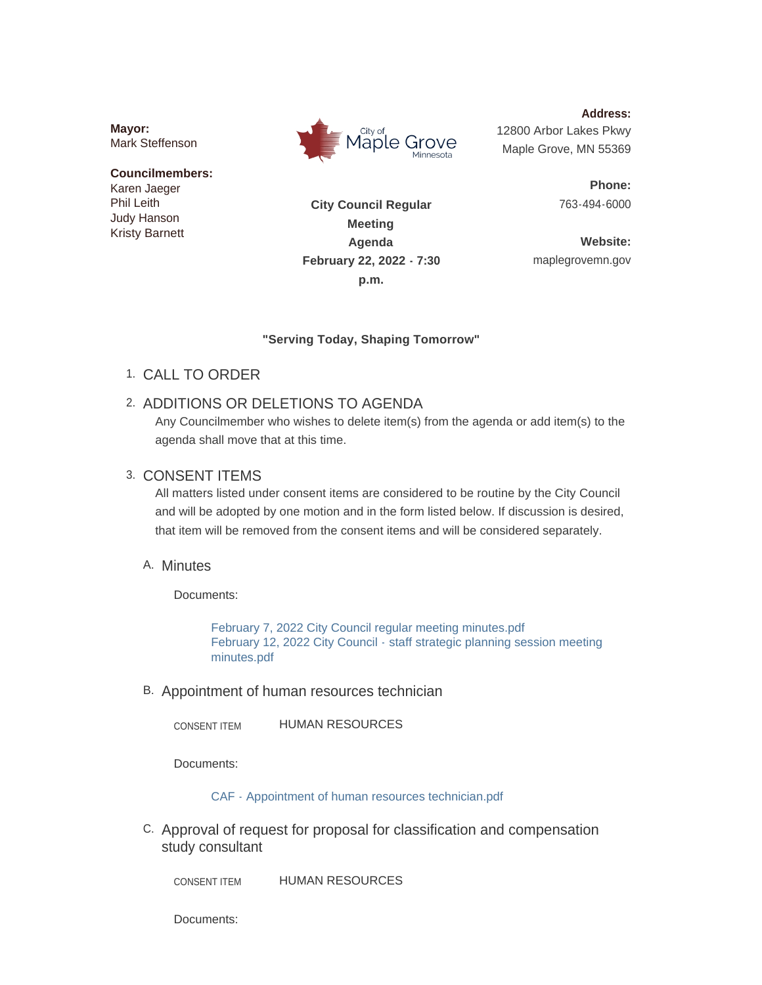**Mayor:** Mark Steffenson

#### **Councilmembers:** Karen Jaeger Phil Leith Judy Hanson Kristy Barnett



**Address:** 12800 Arbor Lakes Pkwy Maple Grove, MN 55369

> **Phone:** 763-494-6000

**Website:** maplegrovemn.gov

**City Council Regular Meeting Agenda February 22, 2022 - 7:30 p.m.**

### **"Serving Today, Shaping Tomorrow"**

- CALL TO ORDER 1.
- 2. ADDITIONS OR DELETIONS TO AGENDA

Any Councilmember who wishes to delete item(s) from the agenda or add item(s) to the agenda shall move that at this time.

# 3. CONSENT ITEMS

All matters listed under consent items are considered to be routine by the City Council and will be adopted by one motion and in the form listed below. If discussion is desired, that item will be removed from the consent items and will be considered separately.

# A. Minutes

Documents:

[February 7, 2022 City Council regular meeting minutes.pdf](https://www.maplegrovemn.gov/AgendaCenter/ViewFile/Item/1319?fileID=4986) [February 12, 2022 City Council - staff strategic planning session meeting](https://www.maplegrovemn.gov/AgendaCenter/ViewFile/Item/1319?fileID=4996)  minutes.pdf

B. Appointment of human resources technician

HUMAN RESOURCES CONSENT ITEM

Documents:

[CAF - Appointment of human resources technician.pdf](https://www.maplegrovemn.gov/AgendaCenter/ViewFile/Item/1312?fileID=4888)

C. Approval of request for proposal for classification and compensation study consultant

HUMAN RESOURCES CONSENT ITEM

Documents: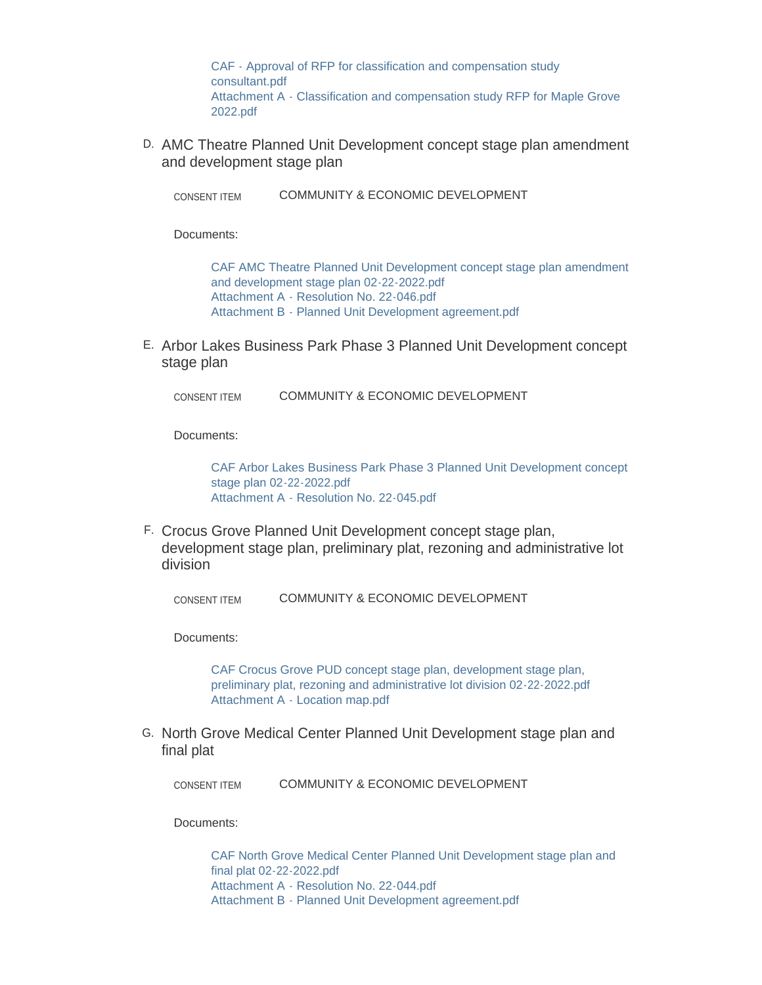[CAF - Approval of RFP for classification and compensation study](https://www.maplegrovemn.gov/AgendaCenter/ViewFile/Item/1316?fileID=4941)  consultant.pdf [Attachment A - Classification and compensation study RFP for Maple Grove](https://www.maplegrovemn.gov/AgendaCenter/ViewFile/Item/1316?fileID=5001)  2022.pdf

D. AMC Theatre Planned Unit Development concept stage plan amendment and development stage plan

COMMUNITY & ECONOMIC DEVELOPMENT CONSENT ITEM

Documents:

[CAF AMC Theatre Planned Unit Development concept stage plan amendment](https://www.maplegrovemn.gov/AgendaCenter/ViewFile/Item/1311?fileID=4876)  and development stage plan 02-22-2022.pdf [Attachment A - Resolution No. 22-046.pdf](https://www.maplegrovemn.gov/AgendaCenter/ViewFile/Item/1311?fileID=4877) [Attachment B - Planned Unit Development agreement.pdf](https://www.maplegrovemn.gov/AgendaCenter/ViewFile/Item/1311?fileID=4878)

E. Arbor Lakes Business Park Phase 3 Planned Unit Development concept stage plan

COMMUNITY & ECONOMIC DEVELOPMENT CONSENT ITEM

Documents:

[CAF Arbor Lakes Business Park Phase 3 Planned Unit Development concept](https://www.maplegrovemn.gov/AgendaCenter/ViewFile/Item/1291?fileID=4851)  stage plan 02-22-2022.pdf [Attachment A - Resolution No. 22-045.pdf](https://www.maplegrovemn.gov/AgendaCenter/ViewFile/Item/1291?fileID=4855)

F. Crocus Grove Planned Unit Development concept stage plan, development stage plan, preliminary plat, rezoning and administrative lot division

COMMUNITY & ECONOMIC DEVELOPMENT CONSENT ITEM

Documents:

[CAF Crocus Grove PUD concept stage plan, development stage plan,](https://www.maplegrovemn.gov/AgendaCenter/ViewFile/Item/1309?fileID=4873)  preliminary plat, rezoning and administrative lot division 02-22-2022.pdf [Attachment A - Location map.pdf](https://www.maplegrovemn.gov/AgendaCenter/ViewFile/Item/1309?fileID=4874)

G. North Grove Medical Center Planned Unit Development stage plan and final plat

COMMUNITY & ECONOMIC DEVELOPMENT CONSENT ITEM

Documents:

[CAF North Grove Medical Center Planned Unit Development stage plan and](https://www.maplegrovemn.gov/AgendaCenter/ViewFile/Item/1306?fileID=4860)  final plat 02-22-2022.pdf [Attachment A - Resolution No. 22-044.pdf](https://www.maplegrovemn.gov/AgendaCenter/ViewFile/Item/1306?fileID=4861) [Attachment B - Planned Unit Development agreement.pdf](https://www.maplegrovemn.gov/AgendaCenter/ViewFile/Item/1306?fileID=4862)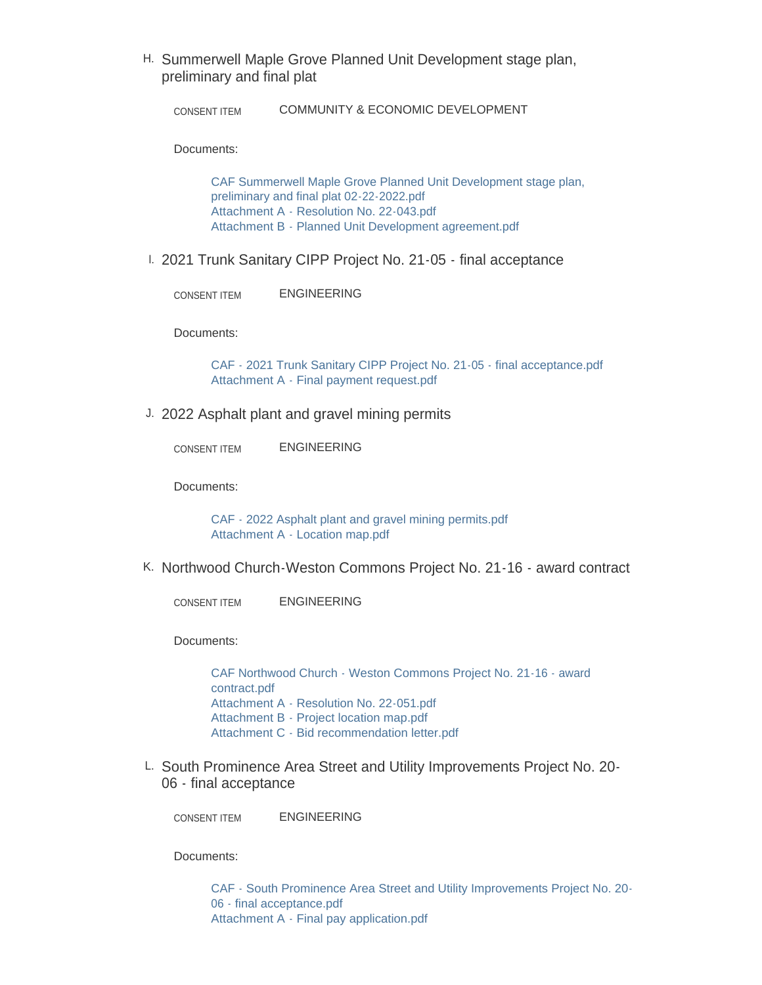H. Summerwell Maple Grove Planned Unit Development stage plan, preliminary and final plat

COMMUNITY & ECONOMIC DEVELOPMENT CONSENT ITEM

Documents:

[CAF Summerwell Maple Grove Planned Unit Development stage plan,](https://www.maplegrovemn.gov/AgendaCenter/ViewFile/Item/1307?fileID=4864)  preliminary and final plat 02-22-2022.pdf [Attachment A - Resolution No. 22-043.pdf](https://www.maplegrovemn.gov/AgendaCenter/ViewFile/Item/1307?fileID=4865) [Attachment B - Planned Unit Development agreement.pdf](https://www.maplegrovemn.gov/AgendaCenter/ViewFile/Item/1307?fileID=4866)

2021 Trunk Sanitary CIPP Project No. 21-05 - final acceptance I.

ENGINEERING CONSENT ITEM

Documents:

[CAF - 2021 Trunk Sanitary CIPP Project No. 21-05 - final acceptance.pdf](https://www.maplegrovemn.gov/AgendaCenter/ViewFile/Item/1273?fileID=4835) [Attachment A - Final payment request.pdf](https://www.maplegrovemn.gov/AgendaCenter/ViewFile/Item/1273?fileID=4836)

J. 2022 Asphalt plant and gravel mining permits

ENGINEERING CONSENT ITEM

Documents:

[CAF - 2022 Asphalt plant and gravel mining permits.pdf](https://www.maplegrovemn.gov/AgendaCenter/ViewFile/Item/1274?fileID=4837) [Attachment A - Location map.pdf](https://www.maplegrovemn.gov/AgendaCenter/ViewFile/Item/1274?fileID=4838)

K. Northwood Church-Weston Commons Project No. 21-16 - award contract

ENGINEERING CONSENT ITEM

Documents:

[CAF Northwood Church - Weston Commons Project No. 21-16 - award](https://www.maplegrovemn.gov/AgendaCenter/ViewFile/Item/1272?fileID=4856)  contract.pdf [Attachment A - Resolution No. 22-051.pdf](https://www.maplegrovemn.gov/AgendaCenter/ViewFile/Item/1272?fileID=4834) [Attachment B - Project location map.pdf](https://www.maplegrovemn.gov/AgendaCenter/ViewFile/Item/1272?fileID=4832) [Attachment C - Bid recommendation letter.pdf](https://www.maplegrovemn.gov/AgendaCenter/ViewFile/Item/1272?fileID=4833)

L. South Prominence Area Street and Utility Improvements Project No. 20-06 - final acceptance

ENGINEERING CONSENT ITEM

Documents:

[CAF - South Prominence Area Street and Utility Improvements Project No. 20-](https://www.maplegrovemn.gov/AgendaCenter/ViewFile/Item/1275?fileID=4839) 06 - final acceptance.pdf [Attachment A - Final pay application.pdf](https://www.maplegrovemn.gov/AgendaCenter/ViewFile/Item/1275?fileID=4840)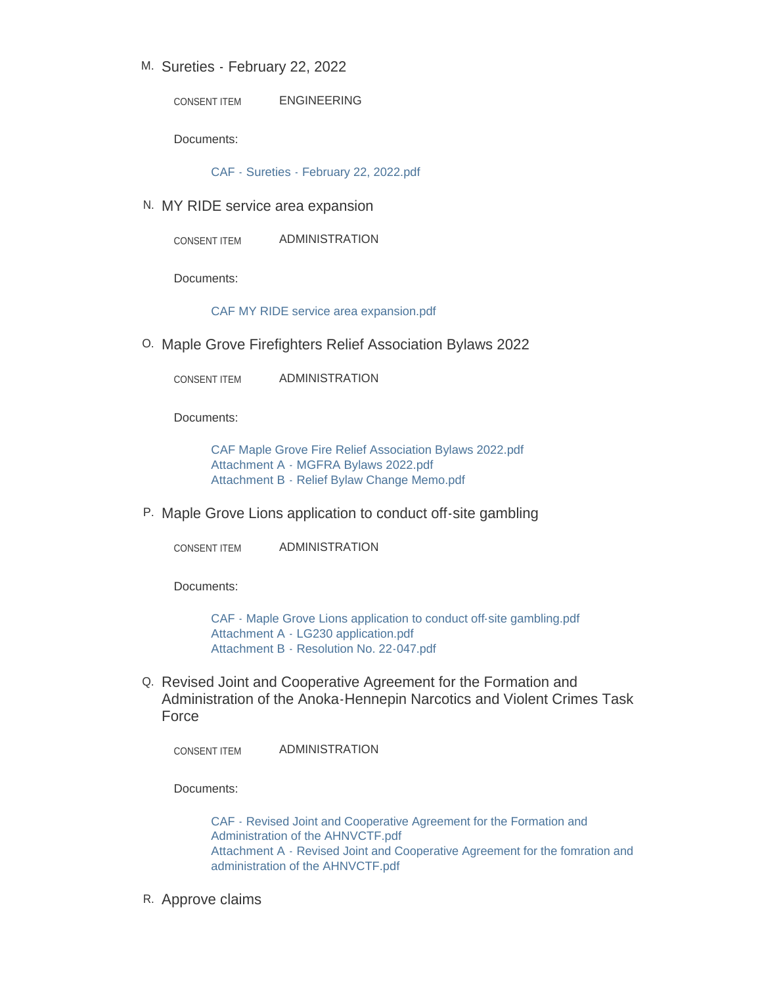# M. Sureties - February 22, 2022

ENGINEERING CONSENT ITEM

Documents:

[CAF - Sureties - February 22, 2022.pdf](https://www.maplegrovemn.gov/AgendaCenter/ViewFile/Item/1317?fileID=4975)

N. MY RIDE service area expansion

ADMINISTRATION CONSENT ITEM

Documents:

[CAF MY RIDE service area expansion.pdf](https://www.maplegrovemn.gov/AgendaCenter/ViewFile/Item/1305?fileID=4859)

0. Maple Grove Firefighters Relief Association Bylaws 2022

ADMINISTRATION CONSENT ITEM

Documents:

[CAF Maple Grove Fire Relief Association Bylaws 2022.pdf](https://www.maplegrovemn.gov/AgendaCenter/ViewFile/Item/1264?fileID=4853) [Attachment A - MGFRA Bylaws 2022.pdf](https://www.maplegrovemn.gov/AgendaCenter/ViewFile/Item/1264?fileID=4854) [Attachment B - Relief Bylaw Change Memo.pdf](https://www.maplegrovemn.gov/AgendaCenter/ViewFile/Item/1264?fileID=4790)

P. Maple Grove Lions application to conduct off-site gambling

ADMINISTRATION CONSENT ITEM

Documents:

[CAF - Maple Grove Lions application to conduct off-site gambling.pdf](https://www.maplegrovemn.gov/AgendaCenter/ViewFile/Item/1254?fileID=4728) [Attachment A - LG230 application.pdf](https://www.maplegrovemn.gov/AgendaCenter/ViewFile/Item/1254?fileID=4729) [Attachment B - Resolution No. 22-047.pdf](https://www.maplegrovemn.gov/AgendaCenter/ViewFile/Item/1254?fileID=4730)

Q. Revised Joint and Cooperative Agreement for the Formation and Administration of the Anoka-Hennepin Narcotics and Violent Crimes Task Force

ADMINISTRATION CONSENT ITEM

Documents:

[CAF - Revised Joint and Cooperative Agreement for the Formation and](https://www.maplegrovemn.gov/AgendaCenter/ViewFile/Item/1313?fileID=4880)  Administration of the AHNVCTF.pdf [Attachment A - Revised Joint and Cooperative Agreement for the fomration and](https://www.maplegrovemn.gov/AgendaCenter/ViewFile/Item/1313?fileID=4881)  administration of the AHNVCTF.pdf

R. Approve claims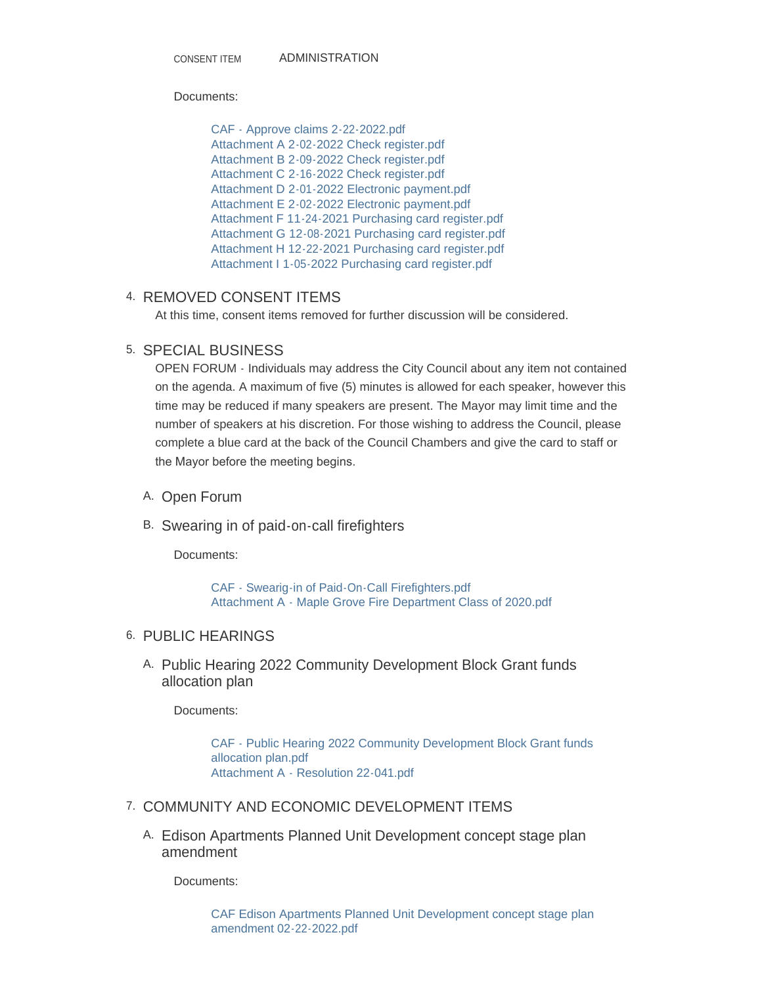ADMINISTRATION CONSENT ITEM

#### Documents:

[CAF - Approve claims 2-22-2022.pdf](https://www.maplegrovemn.gov/AgendaCenter/ViewFile/Item/1318?fileID=4976) [Attachment A 2-02-2022 Check register.pdf](https://www.maplegrovemn.gov/AgendaCenter/ViewFile/Item/1318?fileID=4983) [Attachment B 2-09-2022 Check register.pdf](https://www.maplegrovemn.gov/AgendaCenter/ViewFile/Item/1318?fileID=4984) [Attachment C 2-16-2022 Check register.pdf](https://www.maplegrovemn.gov/AgendaCenter/ViewFile/Item/1318?fileID=4985) [Attachment D 2-01-2022 Electronic payment.pdf](https://www.maplegrovemn.gov/AgendaCenter/ViewFile/Item/1318?fileID=4977) [Attachment E 2-02-2022 Electronic payment.pdf](https://www.maplegrovemn.gov/AgendaCenter/ViewFile/Item/1318?fileID=4978) [Attachment F 11-24-2021 Purchasing card register.pdf](https://www.maplegrovemn.gov/AgendaCenter/ViewFile/Item/1318?fileID=4979) [Attachment G 12-08-2021 Purchasing card register.pdf](https://www.maplegrovemn.gov/AgendaCenter/ViewFile/Item/1318?fileID=4980) [Attachment H 12-22-2021 Purchasing card register.pdf](https://www.maplegrovemn.gov/AgendaCenter/ViewFile/Item/1318?fileID=4981) [Attachment I 1-05-2022 Purchasing card register.pdf](https://www.maplegrovemn.gov/AgendaCenter/ViewFile/Item/1318?fileID=4982)

## 4. REMOVED CONSENT ITEMS

At this time, consent items removed for further discussion will be considered.

## 5. SPECIAL BUSINESS

OPEN FORUM - Individuals may address the City Council about any item not contained on the agenda. A maximum of five (5) minutes is allowed for each speaker, however this time may be reduced if many speakers are present. The Mayor may limit time and the number of speakers at his discretion. For those wishing to address the Council, please complete a blue card at the back of the Council Chambers and give the card to staff or the Mayor before the meeting begins.

- A. Open Forum
- B. Swearing in of paid-on-call firefighters

Documents:

[CAF - Swearig-in of Paid-On-Call Firefighters.pdf](https://www.maplegrovemn.gov/AgendaCenter/ViewFile/Item/1321?fileID=4997) [Attachment A - Maple Grove Fire Department Class of 2020.pdf](https://www.maplegrovemn.gov/AgendaCenter/ViewFile/Item/1321?fileID=4998)

## 6. PUBLIC HEARINGS

A. Public Hearing 2022 Community Development Block Grant funds allocation plan

Documents:

[CAF - Public Hearing 2022 Community Development Block Grant funds](https://www.maplegrovemn.gov/AgendaCenter/ViewFile/Item/1265?fileID=4857)  allocation plan.pdf [Attachment A - Resolution 22-041.pdf](https://www.maplegrovemn.gov/AgendaCenter/ViewFile/Item/1265?fileID=4794)

### 7. COMMUNITY AND ECONOMIC DEVELOPMENT ITEMS

Edison Apartments Planned Unit Development concept stage plan A. amendment

Documents:

[CAF Edison Apartments Planned Unit Development concept stage plan](https://www.maplegrovemn.gov/AgendaCenter/ViewFile/Item/1289?fileID=4845)  amendment 02-22-2022.pdf